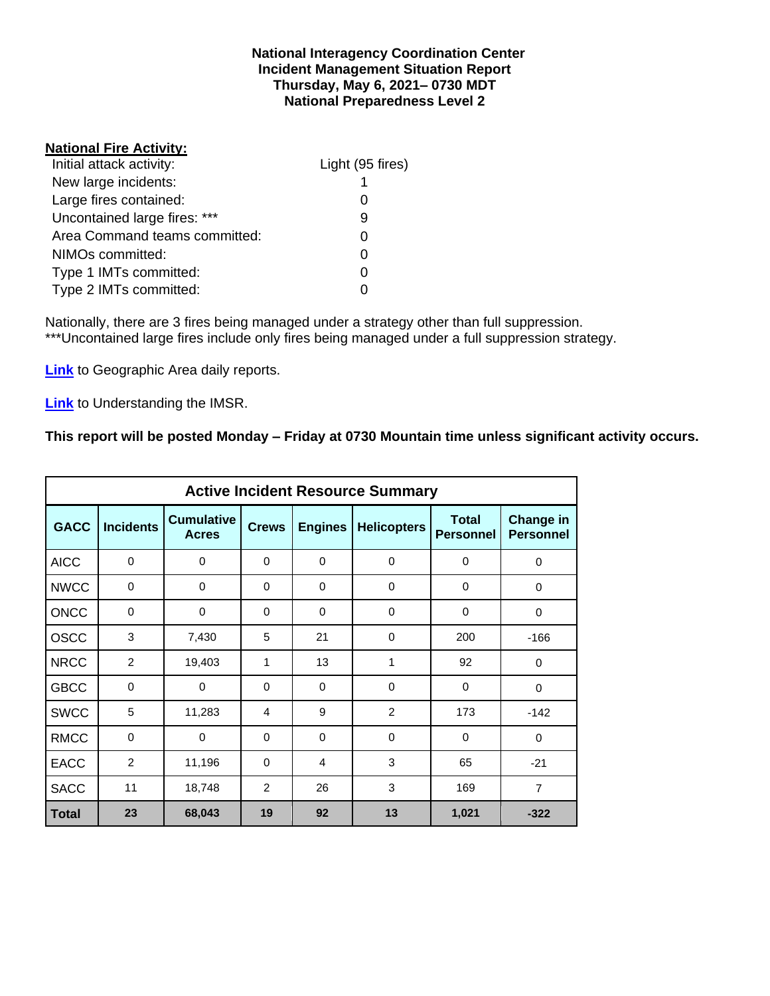#### **National Interagency Coordination Center Incident Management Situation Report Thursday, May 6, 2021– 0730 MDT National Preparedness Level 2**

## **National Fire Activity:**

| Light (95 fires) |
|------------------|
|                  |
|                  |
| 9                |
| ი                |
|                  |
| O                |
|                  |
|                  |

Nationally, there are 3 fires being managed under a strategy other than full suppression. \*\*\*Uncontained large fires include only fires being managed under a full suppression strategy.

**[Link](http://www.nifc.gov/nicc/predictive/statelinks.htm)** to Geographic Area daily reports.

**[Link](https://www.predictiveservices.nifc.gov/intelligence/Understanding%20the%20IMSR%202019.pdf)** to Understanding the IMSR.

## **This report will be posted Monday – Friday at 0730 Mountain time unless significant activity occurs.**

|             |                  |                                   |                |                | <b>Active Incident Resource Summary</b> |                                  |                                      |
|-------------|------------------|-----------------------------------|----------------|----------------|-----------------------------------------|----------------------------------|--------------------------------------|
| <b>GACC</b> | <b>Incidents</b> | <b>Cumulative</b><br><b>Acres</b> | <b>Crews</b>   | <b>Engines</b> | <b>Helicopters</b>                      | <b>Total</b><br><b>Personnel</b> | <b>Change in</b><br><b>Personnel</b> |
| <b>AICC</b> | 0                | 0                                 | $\Omega$       | 0              | 0                                       | 0                                | 0                                    |
| <b>NWCC</b> | $\mathbf 0$      | $\mathbf 0$                       | $\Omega$       | $\Omega$       | $\mathbf 0$                             | 0                                | 0                                    |
| <b>ONCC</b> | $\mathbf 0$      | $\mathbf 0$                       | $\Omega$       | $\Omega$       | $\Omega$                                | 0                                | 0                                    |
| <b>OSCC</b> | 3                | 7,430                             | 5              | 21             | $\Omega$                                | 200                              | $-166$                               |
| <b>NRCC</b> | $\overline{2}$   | 19,403                            | 1              | 13             | 1                                       | 92                               | 0                                    |
| <b>GBCC</b> | $\mathbf 0$      | 0                                 | 0              | 0              | 0                                       | 0                                | 0                                    |
| <b>SWCC</b> | 5                | 11,283                            | $\overline{4}$ | 9              | 2                                       | 173                              | $-142$                               |
| <b>RMCC</b> | $\mathbf 0$      | 0                                 | $\Omega$       | $\Omega$       | $\Omega$                                | $\Omega$                         | 0                                    |
| <b>EACC</b> | $\overline{2}$   | 11,196                            | 0              | 4              | 3                                       | 65                               | $-21$                                |
| <b>SACC</b> | 11               | 18,748                            | 2              | 26             | 3                                       | 169                              | $\overline{7}$                       |
| Total       | 23               | 68,043                            | 19             | 92             | 13                                      | 1,021                            | $-322$                               |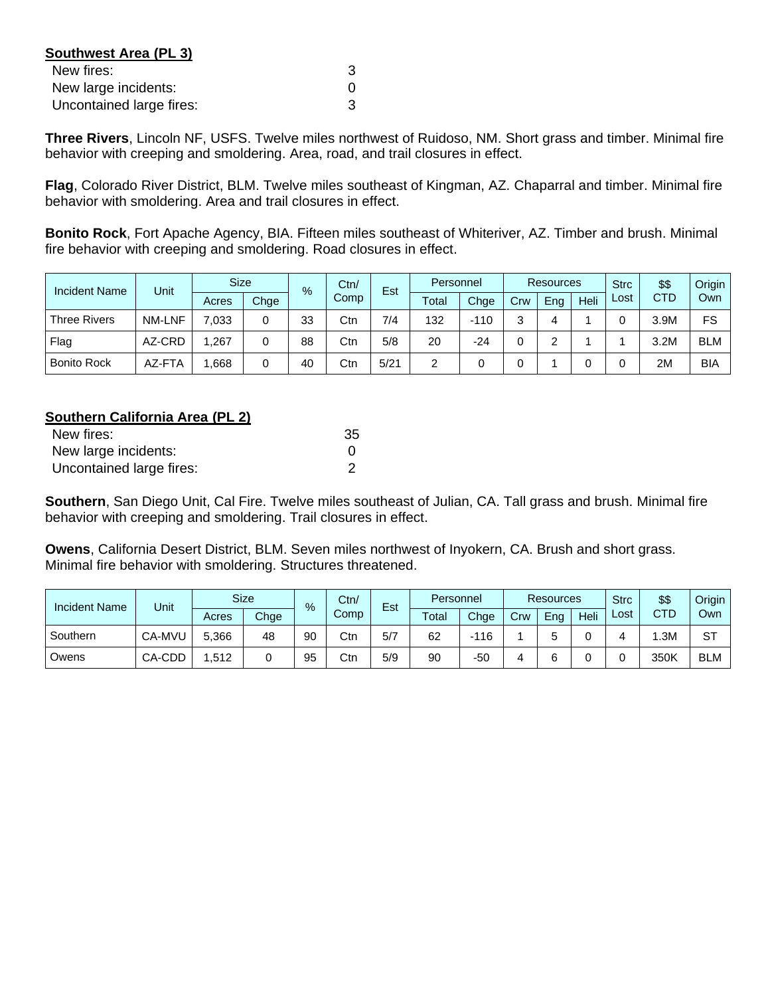| <b>Southwest Area (PL 3)</b> |   |
|------------------------------|---|
| New fires:                   | З |
| New large incidents:         |   |
| Uncontained large fires:     | З |

**Three Rivers**, Lincoln NF, USFS. Twelve miles northwest of Ruidoso, NM. Short grass and timber. Minimal fire behavior with creeping and smoldering. Area, road, and trail closures in effect.

**Flag**, Colorado River District, BLM. Twelve miles southeast of Kingman, AZ. Chaparral and timber. Minimal fire behavior with smoldering. Area and trail closures in effect.

**Bonito Rock**, Fort Apache Agency, BIA. Fifteen miles southeast of Whiteriver, AZ. Timber and brush. Minimal fire behavior with creeping and smoldering. Road closures in effect.

| <b>Incident Name</b> | Unit          | <b>Size</b><br>$\frac{9}{6}$ |      | Ctn/<br>Est |      | Personnel |       | <b>Resources</b> |     |     | <b>Strc</b> | \$\$ | Origin     |            |
|----------------------|---------------|------------------------------|------|-------------|------|-----------|-------|------------------|-----|-----|-------------|------|------------|------------|
|                      |               | Acres                        | Chge |             | Comp |           | Total | Chge             | Crw | Eng | Heli        | Lost | <b>CTD</b> | Own        |
| <b>Three Rivers</b>  | <b>NM-LNF</b> | 7,033                        | 0    | 33          | Ctn  | 7/4       | 132   | $-110$           | ົ   | 4   |             |      | 3.9M       | FS         |
| Flag                 | AZ-CRD        | ,267                         |      | 88          | Ctn  | 5/8       | 20    | -24              |     |     |             |      | 3.2M       | <b>BLM</b> |
| <b>Bonito Rock</b>   | AZ-FTA        | .668                         |      | 40          | Ctn  | 5/21      | 2     |                  |     |     |             |      | 2M         | <b>BIA</b> |

## **Southern California Area (PL 2)**

| New fires:               | 35 |
|--------------------------|----|
| New large incidents:     |    |
| Uncontained large fires: |    |

**Southern**, San Diego Unit, Cal Fire. Twelve miles southeast of Julian, CA. Tall grass and brush. Minimal fire behavior with creeping and smoldering. Trail closures in effect.

**Owens**, California Desert District, BLM. Seven miles northwest of Inyokern, CA. Brush and short grass. Minimal fire behavior with smoldering. Structures threatened.

| <b>Incident Name</b> | Unit   |       | <b>Size</b> | %  | Ctn/ | $\overline{\phantom{0}}$<br>Est |       | Personnel |     | <b>Resources</b> |      | <b>Strc</b> | \$\$       | Origin     |
|----------------------|--------|-------|-------------|----|------|---------------------------------|-------|-----------|-----|------------------|------|-------------|------------|------------|
|                      |        | Acres | Chge        |    | Comp |                                 | Total | Chge      | Crw | Ena              | Heli | Lost        | <b>CTD</b> | Own        |
| Southern             | CA-MVU | 5,366 | 48          | 90 | Ctn  | 5/7                             | 62    | $-116$    |     |                  |      |             | .3M        | ST         |
| Owens                | CA-CDD | .512  | U           | 95 | Ctn  | 5/9                             | 90    | $-50$     |     |                  |      |             | 350K       | <b>BLM</b> |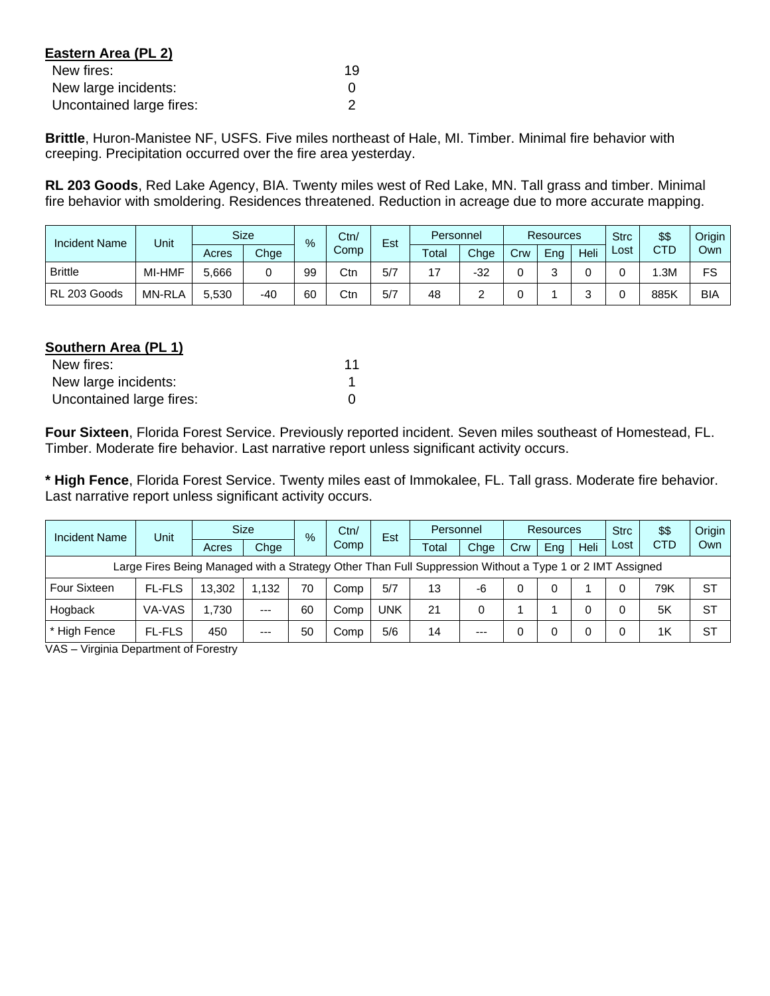| Eastern Area (PL 2)      |    |
|--------------------------|----|
| New fires:               | 19 |
| New large incidents:     |    |
| Uncontained large fires: |    |

**Brittle**, Huron-Manistee NF, USFS. Five miles northeast of Hale, MI. Timber. Minimal fire behavior with creeping. Precipitation occurred over the fire area yesterday.

**RL 203 Goods**, Red Lake Agency, BIA. Twenty miles west of Red Lake, MN. Tall grass and timber. Minimal fire behavior with smoldering. Residences threatened. Reduction in acreage due to more accurate mapping.

| <b>Incident Name</b> | Unit          |       | <b>Size</b> | $\frac{9}{6}$ | Ctn/ | $\overline{\phantom{0}}$<br>Est | Personnel        |      | <b>Resources</b> |     |      | <b>Strc</b> | \$\$ | <b>Origin</b> |
|----------------------|---------------|-------|-------------|---------------|------|---------------------------------|------------------|------|------------------|-----|------|-------------|------|---------------|
|                      |               | Acres | Chge        |               | Comp |                                 | $\mathsf{Total}$ | Chge | Crw              | Eng | Heli | Lost        | CTD  | Own           |
| <b>Brittle</b>       | MI-HMF        | 5,666 |             | 99            | Ctn  | 5/7                             | 47               | -32  |                  |     |      |             | .3M  | FS            |
| RL 203 Goods         | <b>MN-RLA</b> | 5,530 | -40         | 60            | Ctn  | 5/7                             | 48               |      |                  |     |      |             | 885K | BIA           |

#### **Southern Area (PL 1)**

| New fires:               |  |
|--------------------------|--|
| New large incidents:     |  |
| Uncontained large fires: |  |

**Four Sixteen**, Florida Forest Service. Previously reported incident. Seven miles southeast of Homestead, FL. Timber. Moderate fire behavior. Last narrative report unless significant activity occurs.

**\* High Fence**, Florida Forest Service. Twenty miles east of Immokalee, FL. Tall grass. Moderate fire behavior. Last narrative report unless significant activity occurs.

| Incident Name                                                                                            | Unit          |        | <b>Size</b> | $\frac{9}{6}$ |      | Est | Personnel |       | <b>Resources</b> |          |      | <b>Strc</b> | \$\$       | Origin    |
|----------------------------------------------------------------------------------------------------------|---------------|--------|-------------|---------------|------|-----|-----------|-------|------------------|----------|------|-------------|------------|-----------|
|                                                                                                          |               | Acres  | Chge        |               | Comp |     | Total     | Chge  | Crw              | Eng      | Heli | Lost        | <b>CTD</b> | Own       |
| Large Fires Being Managed with a Strategy Other Than Full Suppression Without a Type 1 or 2 IMT Assigned |               |        |             |               |      |     |           |       |                  |          |      |             |            |           |
| <b>Four Sixteen</b>                                                                                      | <b>FL-FLS</b> | 13.302 | 1.132       | 70            | Comp | 5/7 | 13        | -6    |                  | $\Omega$ |      |             | 79K        | <b>ST</b> |
| Hogback                                                                                                  | VA-VAS        | 1.730  | $---$       | 60            | Comp | UNK | 21        | 0     |                  |          |      |             | 5K         | <b>ST</b> |
| * High Fence                                                                                             | <b>FL-FLS</b> | 450    | $---$       | 50            | Comp | 5/6 | 14        | $---$ |                  |          |      |             | 1K         | <b>ST</b> |

VAS – Virginia Department of Forestry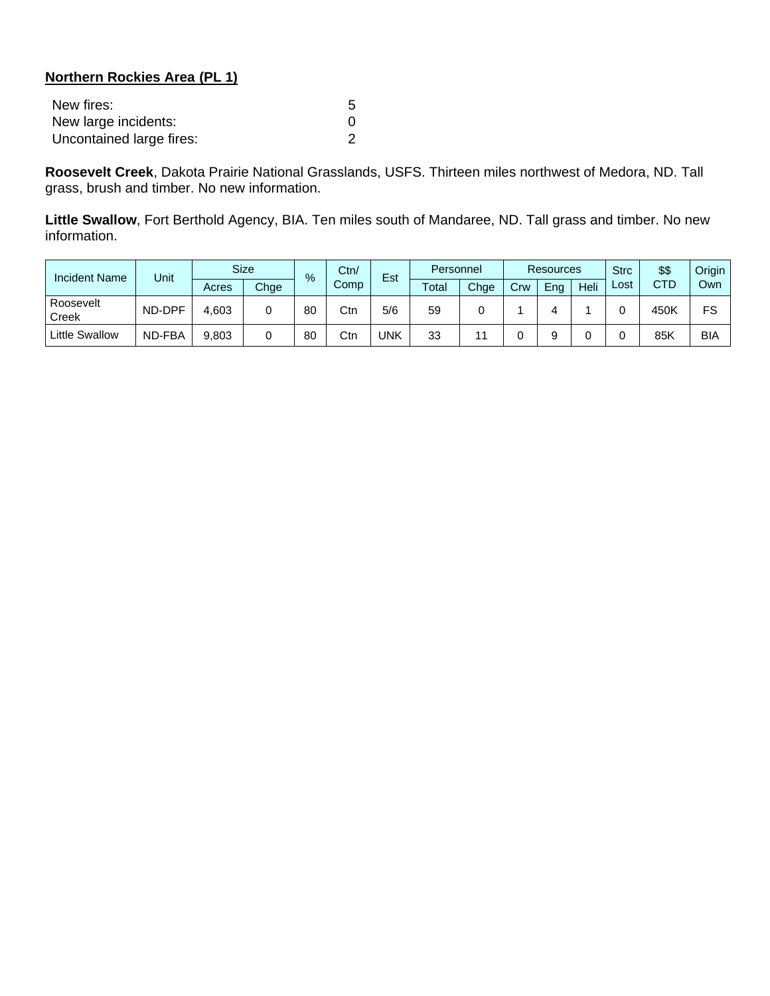# **Northern Rockies Area (PL 1)**

| New fires:               |  |
|--------------------------|--|
| New large incidents:     |  |
| Uncontained large fires: |  |

**Roosevelt Creek**, Dakota Prairie National Grasslands, USFS. Thirteen miles northwest of Medora, ND. Tall grass, brush and timber. No new information.

**Little Swallow**, Fort Berthold Agency, BIA. Ten miles south of Mandaree, ND. Tall grass and timber. No new information.

| Incident Name      | Unit   |       | <b>Size</b> | %  | Ctn/ | Est | Personnel |      | <b>Resources</b> |     |      | <b>Strc</b> | \$\$       | Origin |
|--------------------|--------|-------|-------------|----|------|-----|-----------|------|------------------|-----|------|-------------|------------|--------|
|                    |        | Acres | Chge        |    | Comp |     | Total     | Chge | Crw              | Eng | Heli | Lost        | <b>CTD</b> | Own    |
| Roosevelt<br>Creek | ND-DPF | 4,603 |             | 80 | Ctn  | 5/6 | 59        |      |                  |     |      |             | 450K       | FS     |
| Little Swallow     | ND-FBA | 9,803 |             | 80 | Ctn  | UNK | 33        |      |                  |     |      |             | 85K        | BIA    |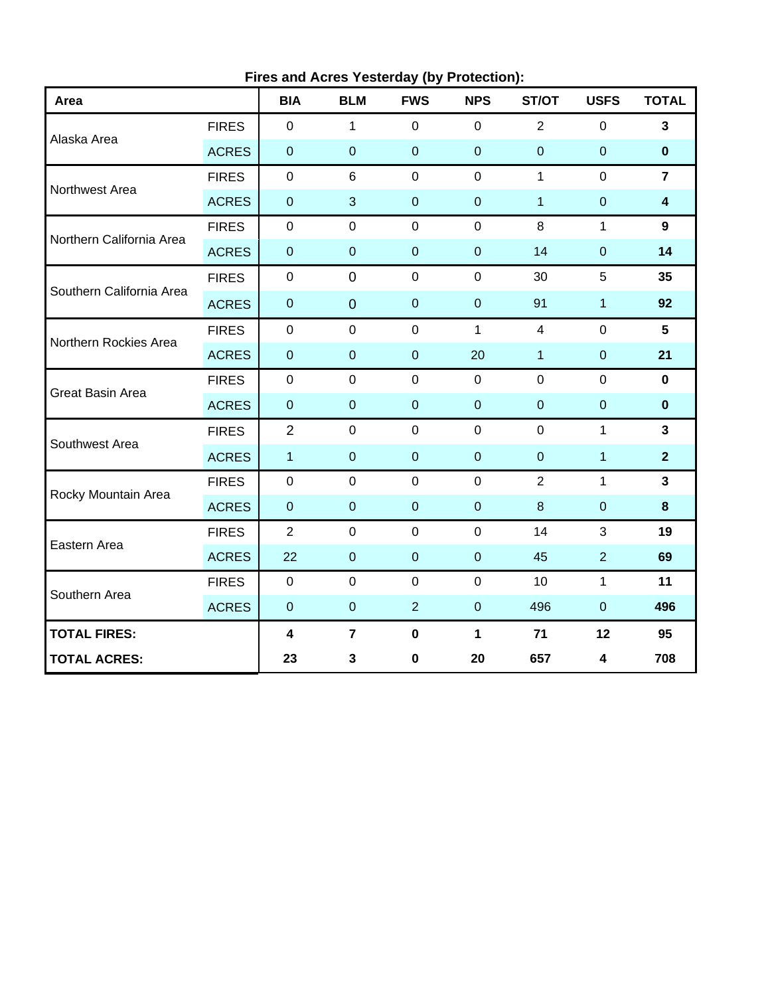| Area                     |              | <b>BIA</b>              | $\frac{1}{2}$ is and Abread restating (by received).<br><b>BLM</b> | <b>FWS</b>     | <b>NPS</b>     | ST/OT            | <b>USFS</b>    | <b>TOTAL</b>            |
|--------------------------|--------------|-------------------------|--------------------------------------------------------------------|----------------|----------------|------------------|----------------|-------------------------|
| Alaska Area              | <b>FIRES</b> | $\mathbf{0}$            | 1                                                                  | $\mathbf 0$    | $\overline{0}$ | $\overline{2}$   | $\overline{0}$ | $\overline{\mathbf{3}}$ |
|                          | <b>ACRES</b> | $\pmb{0}$               | $\pmb{0}$                                                          | $\mathbf 0$    | $\mathbf 0$    | $\boldsymbol{0}$ | $\pmb{0}$      | $\pmb{0}$               |
| Northwest Area           | <b>FIRES</b> | $\mathbf 0$             | 6                                                                  | $\mathbf 0$    | $\mathbf 0$    | $\mathbf{1}$     | $\overline{0}$ | $\overline{7}$          |
|                          | <b>ACRES</b> | $\pmb{0}$               | 3                                                                  | $\pmb{0}$      | $\mathbf 0$    | $\mathbf{1}$     | $\overline{0}$ | $\overline{\mathbf{4}}$ |
| Northern California Area | <b>FIRES</b> | $\pmb{0}$               | $\mathbf 0$                                                        | $\mathbf 0$    | $\mathbf 0$    | 8                | $\mathbf{1}$   | 9                       |
|                          | <b>ACRES</b> | $\mathbf 0$             | $\pmb{0}$                                                          | $\mathbf 0$    | $\pmb{0}$      | 14               | $\pmb{0}$      | 14                      |
| Southern California Area | <b>FIRES</b> | $\mathbf 0$             | $\mathbf 0$                                                        | $\mathbf 0$    | $\mathbf 0$    | 30               | 5              | 35                      |
|                          | <b>ACRES</b> | $\pmb{0}$               | $\mathbf 0$                                                        | $\pmb{0}$      | $\pmb{0}$      | 91               | $\mathbf 1$    | 92                      |
| Northern Rockies Area    | <b>FIRES</b> | $\mathbf 0$             | $\mathbf 0$                                                        | $\mathbf 0$    | $\mathbf{1}$   | $\overline{4}$   | $\mathbf 0$    | 5                       |
|                          | <b>ACRES</b> | $\pmb{0}$               | $\pmb{0}$                                                          | $\pmb{0}$      | 20             | $\mathbf{1}$     | $\pmb{0}$      | 21                      |
| <b>Great Basin Area</b>  | <b>FIRES</b> | $\mathbf 0$             | $\mathbf 0$                                                        | $\mathbf 0$    | $\mathbf 0$    | $\mathbf 0$      | $\mathbf 0$    | $\mathbf 0$             |
|                          | <b>ACRES</b> | $\pmb{0}$               | $\pmb{0}$                                                          | $\mathbf 0$    | $\pmb{0}$      | $\mathbf 0$      | $\mathbf 0$    | $\pmb{0}$               |
| Southwest Area           | <b>FIRES</b> | $\overline{2}$          | $\mathbf 0$                                                        | $\mathbf 0$    | $\overline{0}$ | $\mathbf 0$      | $\mathbf{1}$   | $\mathbf{3}$            |
|                          | <b>ACRES</b> | $\mathbf{1}$            | $\pmb{0}$                                                          | $\mathbf 0$    | $\pmb{0}$      | $\mathbf 0$      | $\mathbf 1$    | $\overline{2}$          |
| Rocky Mountain Area      | <b>FIRES</b> | $\mathbf 0$             | $\mathbf 0$                                                        | $\mathbf 0$    | $\mathbf 0$    | $\overline{2}$   | $\mathbf{1}$   | $\overline{\mathbf{3}}$ |
|                          | <b>ACRES</b> | $\pmb{0}$               | $\mathbf 0$                                                        | $\pmb{0}$      | $\pmb{0}$      | 8                | $\pmb{0}$      | 8                       |
| Eastern Area             | <b>FIRES</b> | $\overline{2}$          | $\mathbf 0$                                                        | $\mathbf 0$    | $\mathbf{0}$   | 14               | 3              | 19                      |
|                          | <b>ACRES</b> | 22                      | $\pmb{0}$                                                          | $\mathbf 0$    | $\mathbf 0$    | 45               | 2              | 69                      |
| Southern Area            | <b>FIRES</b> | $\pmb{0}$               | $\mathbf 0$                                                        | $\mathbf 0$    | $\mathbf 0$    | 10               | $\mathbf{1}$   | 11                      |
|                          | <b>ACRES</b> | $\pmb{0}$               | $\pmb{0}$                                                          | $\overline{2}$ | $\mathbf 0$    | 496              | $\overline{0}$ | 496                     |
| <b>TOTAL FIRES:</b>      |              | $\overline{\mathbf{4}}$ | $\overline{7}$                                                     | $\pmb{0}$      | $\mathbf{1}$   | 71               | 12             | 95                      |
| <b>TOTAL ACRES:</b>      |              | 23                      | 3                                                                  | $\pmb{0}$      | 20             | 657              | 4              | 708                     |

**Fires and Acres Yesterday (by Protection):**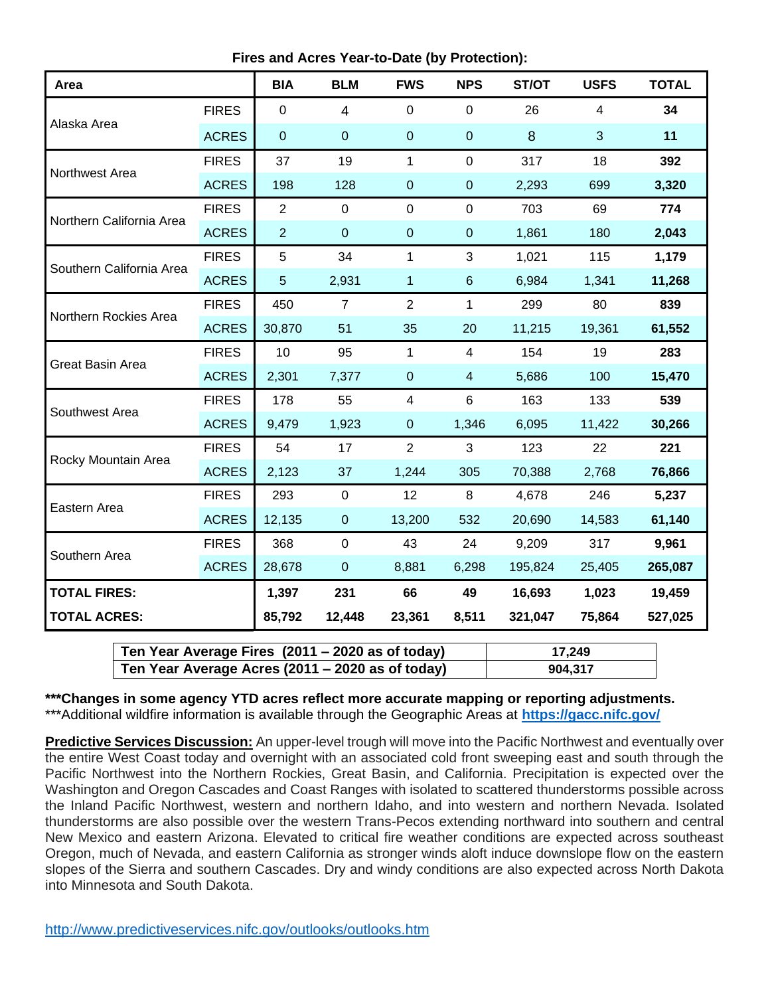**Fires and Acres Year-to-Date (by Protection):**

| Area                     |              | <b>BIA</b>       | <b>BLM</b>       | <b>FWS</b>     | <b>NPS</b>       | ST/OT   | <b>USFS</b>    | <b>TOTAL</b> |
|--------------------------|--------------|------------------|------------------|----------------|------------------|---------|----------------|--------------|
| Alaska Area              | <b>FIRES</b> | $\mathbf 0$      | $\overline{4}$   | $\mathbf 0$    | $\mathbf 0$      | 26      | $\overline{4}$ | 34           |
|                          | <b>ACRES</b> | $\boldsymbol{0}$ | $\boldsymbol{0}$ | $\pmb{0}$      | $\boldsymbol{0}$ | 8       | 3              | 11           |
| Northwest Area           | <b>FIRES</b> | 37               | 19               | 1              | $\mathbf 0$      | 317     | 18             | 392          |
|                          | <b>ACRES</b> | 198              | 128              | $\mathbf 0$    | $\mathbf 0$      | 2,293   | 699            | 3,320        |
| Northern California Area | <b>FIRES</b> | $\overline{2}$   | $\mathbf 0$      | $\mathbf 0$    | $\mathbf 0$      | 703     | 69             | 774          |
|                          | <b>ACRES</b> | $\overline{2}$   | $\boldsymbol{0}$ | $\mathbf 0$    | $\pmb{0}$        | 1,861   | 180            | 2,043        |
| Southern California Area | <b>FIRES</b> | 5                | 34               | 1              | 3                | 1,021   | 115            | 1,179        |
|                          | <b>ACRES</b> | $\overline{5}$   | 2,931            | 1              | $\,6\,$          | 6,984   | 1,341          | 11,268       |
| Northern Rockies Area    | <b>FIRES</b> | 450              | $\overline{7}$   | 2              | 1                | 299     | 80             | 839          |
|                          | <b>ACRES</b> | 30,870           | 51               | 35             | 20               | 11,215  | 19,361         | 61,552       |
| <b>Great Basin Area</b>  | <b>FIRES</b> | 10               | 95               | 1              | $\overline{4}$   | 154     | 19             | 283          |
|                          | <b>ACRES</b> | 2,301            | 7,377            | $\pmb{0}$      | $\overline{4}$   | 5,686   | 100            | 15,470       |
| Southwest Area           | <b>FIRES</b> | 178              | 55               | $\overline{4}$ | $6\phantom{1}$   | 163     | 133            | 539          |
|                          | <b>ACRES</b> | 9,479            | 1,923            | $\mathbf{0}$   | 1,346            | 6,095   | 11,422         | 30,266       |
| Rocky Mountain Area      | <b>FIRES</b> | 54               | 17               | $\overline{2}$ | 3                | 123     | 22             | 221          |
|                          | <b>ACRES</b> | 2,123            | 37               | 1,244          | 305              | 70,388  | 2,768          | 76,866       |
| Eastern Area             | <b>FIRES</b> | 293              | $\mathbf 0$      | 12             | $\,8\,$          | 4,678   | 246            | 5,237        |
|                          | <b>ACRES</b> | 12,135           | $\pmb{0}$        | 13,200         | 532              | 20,690  | 14,583         | 61,140       |
| Southern Area            | <b>FIRES</b> | 368              | $\mathbf 0$      | 43             | 24               | 9,209   | 317            | 9,961        |
|                          | <b>ACRES</b> | 28,678           | $\pmb{0}$        | 8,881          | 6,298            | 195,824 | 25,405         | 265,087      |
| <b>TOTAL FIRES:</b>      |              | 1,397            | 231              | 66             | 49               | 16,693  | 1,023          | 19,459       |
| <b>TOTAL ACRES:</b>      |              | 85,792           | 12,448           | 23,361         | 8,511            | 321,047 | 75,864         | 527,025      |

| Ten Year Average Fires (2011 – 2020 as of today) | 17.249  |
|--------------------------------------------------|---------|
| Ten Year Average Acres (2011 – 2020 as of today) | 904,317 |

**\*\*\*Changes in some agency YTD acres reflect more accurate mapping or reporting adjustments.** \*\*\*Additional wildfire information is available through the Geographic Areas at **<https://gacc.nifc.gov/>**

**Predictive Services Discussion:** An upper-level trough will move into the Pacific Northwest and eventually over the entire West Coast today and overnight with an associated cold front sweeping east and south through the Pacific Northwest into the Northern Rockies, Great Basin, and California. Precipitation is expected over the Washington and Oregon Cascades and Coast Ranges with isolated to scattered thunderstorms possible across the Inland Pacific Northwest, western and northern Idaho, and into western and northern Nevada. Isolated thunderstorms are also possible over the western Trans-Pecos extending northward into southern and central New Mexico and eastern Arizona. Elevated to critical fire weather conditions are expected across southeast Oregon, much of Nevada, and eastern California as stronger winds aloft induce downslope flow on the eastern slopes of the Sierra and southern Cascades. Dry and windy conditions are also expected across North Dakota into Minnesota and South Dakota.